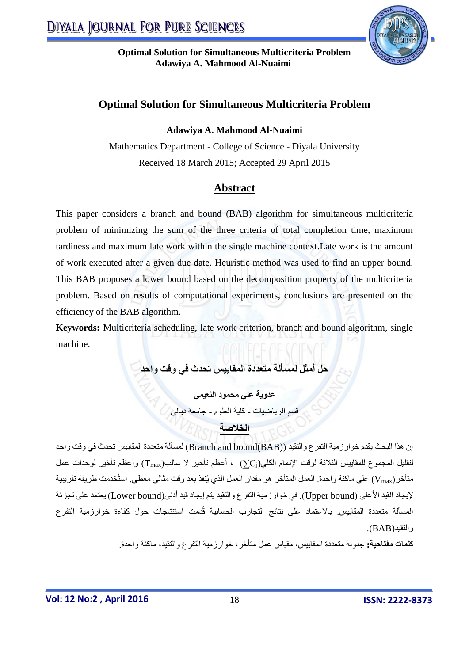

## **Optimal Solution for Simultaneous Multicriteria Problem**

**Adawiya A. Mahmood Al-Nuaimi**

Mathematics Department - College of Science - Diyala University Received 18 March 2015; Accepted 29 April 2015

# **Abstract**

This paper considers a branch and bound (BAB) algorithm for simultaneous multicriteria problem of minimizing the sum of the three criteria of total completion time, maximum tardiness and maximum late work within the single machine context.Late work is the amount of work executed after a given due date. Heuristic method was used to find an upper bound. This BAB proposes a lower bound based on the decomposition property of the multicriteria problem. Based on results of computational experiments, conclusions are presented on the efficiency of the BAB algorithm.

**Keywords:** Multicriteria scheduling, late work criterion, branch and bound algorithm, single machine.

**حل أمثل لمسألة متعددة المقاييس تحدث في وقت واحد**

**عدوية علي محمود النعيمي** قسم الرياضيات - كلية العلوم - جامعة ديالى

**الخالصة** 

إن هذا البحث يقدم خوارزمية التفرع والتقيد )(BAB(bound and Branch )لمسألة متعددة المقاييس تحدث في وقت واحد لتقليل المجموع للمقاييس الثالثة لوقت اإلتمام الكلي(C<sup>j</sup> (∑، أعظم تأخير ال سالب)Tmax )وأعظم تأخير لوحدات عمل متأخر)Vmax )على ماكنة واحدة. العمل المتأخر هو مقدار العمل الذي يُنفذ بعد وقت مثالي معطى. استُخدمت طريقة تقريبية إليجاد القيد األعلى )bound Upper). في خوارزمية التفرع والتقيد يتم إيجاد قيد أدنى)bound Lower )يعتمد على تجزئة المسألة متعددة المقاييس. باالعتماد على نتائج التجارب الحسابية قُدمت استنتاجات حول كفاءة خوارزمية التفرع والتقيد)BAB).

**كلمات مفتاحية:** جدولة متعددة المقاييس، مقياس عمل متأخر، خوارزمية التفرع والتقيد، ماكنة واحدة.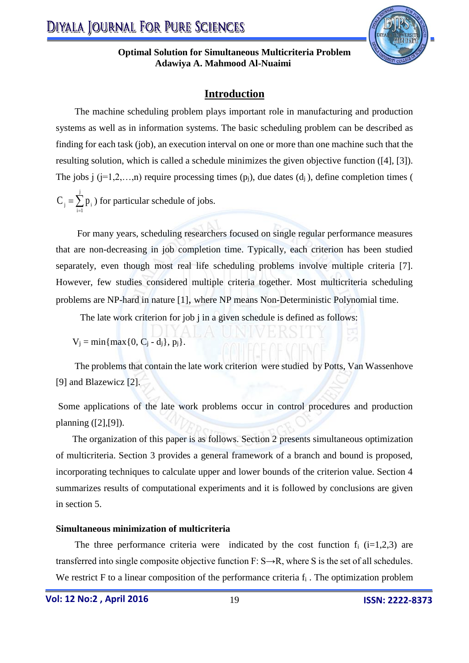

### **Introduction**

 The machine scheduling problem plays important role in manufacturing and production systems as well as in information systems. The basic scheduling problem can be described as finding for each task (job), an execution interval on one or more than one machine such that the resulting solution, which is called a schedule minimizes the given objective function ([4], [3]). The jobs j  $(i=1,2,...,n)$  require processing times  $(p_i)$ , due dates  $(d_i)$ , define completion times (  $=\sum$ j  $i = 1$  $C_j = \sum p_i$ ) for particular schedule of jobs.

 For many years, scheduling researchers focused on single regular performance measures that are non-decreasing in job completion time. Typically, each criterion has been studied separately, even though most real life scheduling problems involve multiple criteria [7]. However, few studies considered multiple criteria together. Most multicriteria scheduling problems are NP-hard in nature [1], where NP means Non-Deterministic Polynomial time.

The late work criterion for job i in a given schedule is defined as follows:

$$
V_j = min\{max\{0, C_j - d_j\}, p_j\}.
$$

 The problems that contain the late work criterion were studied by Potts, Van Wassenhove [9] and Blazewicz [2].

Some applications of the late work problems occur in control procedures and production planning ([2],[9]).

 The organization of this paper is as follows. Section 2 presents simultaneous optimization of multicriteria. Section 3 provides a general framework of a branch and bound is proposed, incorporating techniques to calculate upper and lower bounds of the criterion value. Section 4 summarizes results of computational experiments and it is followed by conclusions are given in section 5.

#### **Simultaneous minimization of multicriteria**

The three performance criteria were indicated by the cost function  $f_i$  (i=1,2,3) are transferred into single composite objective function  $F: S \rightarrow R$ , where S is the set of all schedules. We restrict F to a linear composition of the performance criteria  $f_i$ . The optimization problem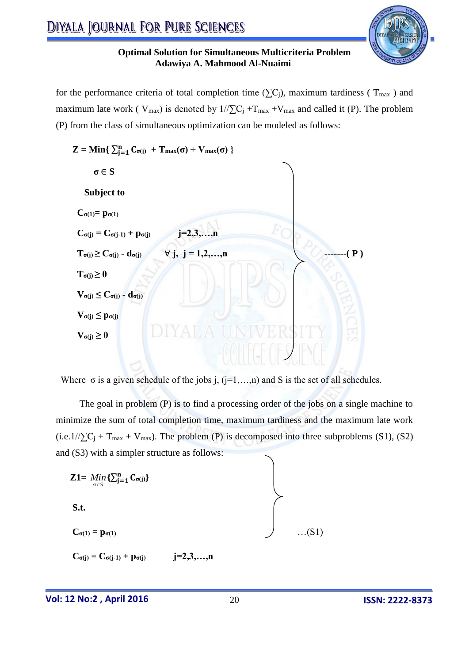

for the performance criteria of total completion time ( $\Sigma$ C<sub>i</sub>), maximum tardiness ( $T_{\text{max}}$ ) and maximum late work (  $V_{max}$ ) is denoted by  $1/\sum C_j + T_{max} + V_{max}$  and called it (P). The problem (P) from the class of simultaneous optimization can be modeled as follows:



Where  $\sigma$  is a given schedule of the jobs j, (j=1,...,n) and S is the set of all schedules.

 The goal in problem (P) is to find a processing order of the jobs on a single machine to minimize the sum of total completion time, maximum tardiness and the maximum late work  $(i.e.1//\sum C_j + T_{max} + V_{max})$ . The problem (P) is decomposed into three subproblems (S1), (S2) and (S3) with a simpler structure as follows:

$$
\begin{aligned}\n\mathbf{Z1} &= \lim_{\sigma \in S} \{ \sum_{j=1}^{n} \mathbf{C}_{\sigma(j)} \} \\
\mathbf{S.t.} \\
\mathbf{C}_{\sigma(1)} &= \mathbf{p}_{\sigma(1)} \qquad \qquad \text{...(S1)}\n\end{aligned}
$$

$$
C_{\sigma(j)}=C_{\sigma(j\text{-}1)}+p_{\sigma(j)} \qquad \qquad j\text{=}2,3,\ldots,n
$$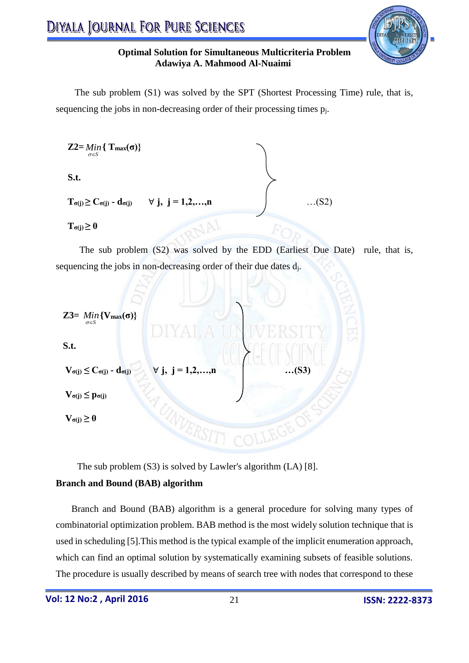

 The sub problem (S1) was solved by the SPT (Shortest Processing Time) rule, that is, sequencing the jobs in non-decreasing order of their processing times  $p_i$ .

Z2= Min { T<sub>max</sub>(
$$
\sigma
$$
)}  
\nS.t.  
\n $T_{\sigma(j)} \ge C_{\sigma(j)} - d_{\sigma(j)}$   $\forall$  j, j = 1,2,...,n ... (S2)

 $\mathbf{T}_{\sigma(i)} \geq 0$ 

 The sub problem (S2) was solved by the EDD (Earliest Due Date) rule, that is, sequencing the jobs in non-decreasing order of their due dates d<sub>i</sub>.

 **Z3=**  *S Min* **{Vmax(σ)} S.t. Vσ(j) ≤ Cσ(j) - dσ(j)** ∀ **j, j = 1,2,…,n …(S3) Vσ(j) ≤ pσ(j) Vσ(j) ≥ 0** 

The sub problem (S3) is solved by Lawler's algorithm (LA) [8].

#### **Branch and Bound (BAB) algorithm**

Branch and Bound (BAB) algorithm is a general procedure for solving many types of combinatorial optimization problem. BAB method is the most widely solution technique that is used in scheduling [5].This method is the typical example of the implicit enumeration approach, which can find an optimal solution by systematically examining subsets of feasible solutions. The procedure is usually described by means of search tree with nodes that correspond to these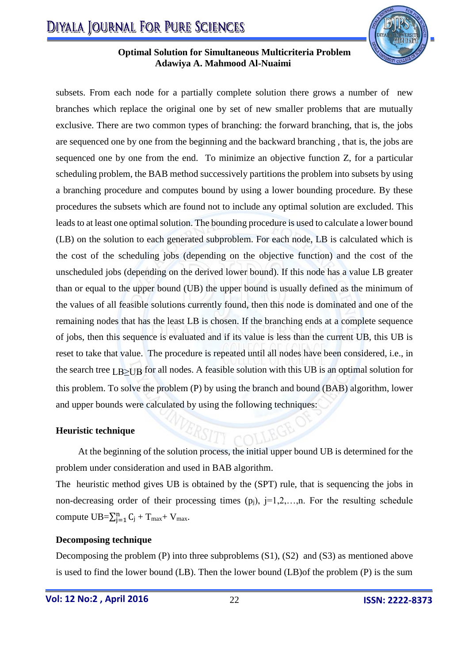

subsets. From each node for a partially complete solution there grows a number of new branches which replace the original one by set of new smaller problems that are mutually exclusive. There are two common types of branching: the forward branching, that is, the jobs are sequenced one by one from the beginning and the backward branching , that is, the jobs are sequenced one by one from the end. To minimize an objective function Z, for a particular scheduling problem, the BAB method successively partitions the problem into subsets by using a branching procedure and computes bound by using a lower bounding procedure. By these procedures the subsets which are found not to include any optimal solution are excluded. This leads to at least one optimal solution. The bounding procedure is used to calculate a lower bound (LB) on the solution to each generated subproblem. For each node, LB is calculated which is the cost of the scheduling jobs (depending on the objective function) and the cost of the unscheduled jobs (depending on the derived lower bound). If this node has a value LB greater than or equal to the upper bound (UB) the upper bound is usually defined as the minimum of the values of all feasible solutions currently found, then this node is dominated and one of the remaining nodes that has the least LB is chosen. If the branching ends at a complete sequence of jobs, then this sequence is evaluated and if its value is less than the current UB, this UB is reset to take that value. The procedure is repeated until all nodes have been considered, i.e., in the search tree LB≥UB for all nodes. A feasible solution with this UB is an optimal solution for this problem. To solve the problem (P) by using the branch and bound (BAB) algorithm, lower and upper bounds were calculated by using the following techniques:

#### **Heuristic technique**

At the beginning of the solution process, the initial upper bound UB is determined for the problem under consideration and used in BAB algorithm.

The heuristic method gives UB is obtained by the (SPT) rule, that is sequencing the jobs in non-decreasing order of their processing times  $(p_i)$ , j=1,2,...,n. For the resulting schedule compute  $UB = \sum_{j=1}^{n} C_j + T_{max} + V_{max}$ .

#### **Decomposing technique**

Decomposing the problem (P) into three subproblems (S1), (S2) and (S3) as mentioned above is used to find the lower bound (LB). Then the lower bound (LB)of the problem (P) is the sum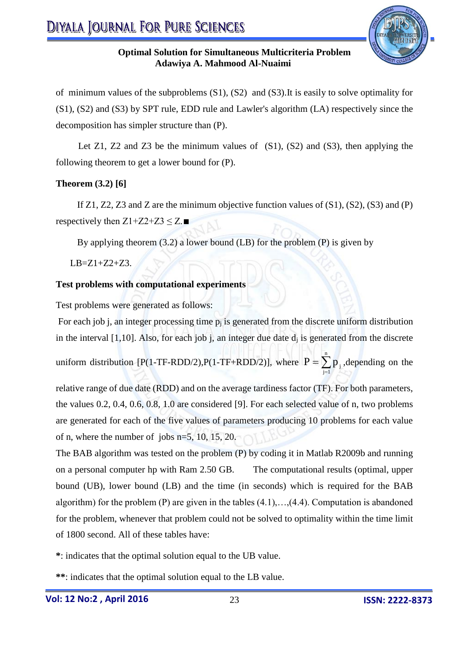

of minimum values of the subproblems (S1), (S2) and (S3).It is easily to solve optimality for (S1), (S2) and (S3) by SPT rule, EDD rule and Lawler's algorithm (LA) respectively since the decomposition has simpler structure than (P).

Let  $Z_1$ ,  $Z_2$  and  $Z_3$  be the minimum values of  $(S_1)$ ,  $(S_2)$  and  $(S_3)$ , then applying the following theorem to get a lower bound for (P).

### **Theorem (3.2) [6]**

If  $Z1$ ,  $Z2$ ,  $Z3$  and  $Z$  are the minimum objective function values of  $(S1)$ ,  $(S2)$ ,  $(S3)$  and  $(P)$ respectively then  $Z1+Z2+Z3 \leq Z$ .■

By applying theorem (3.2) a lower bound (LB) for the problem (P) is given by

 $LB = Z1 + Z2 + Z3$ .

### **Test problems with computational experiments**

Test problems were generated as follows:

For each job j, an integer processing time  $p_i$  is generated from the discrete uniform distribution in the interval  $[1,10]$ . Also, for each job j, an integer due date  $d_i$  is generated from the discrete uniform distribution [P(1-TF-RDD/2),P(1-TF+RDD/2)], where  $P = \sum_{i=1}^{n}$ ∓  $P = \sum_{j=1}^{n} p_j$ , depending on the

relative range of due date (RDD) and on the average tardiness factor (TF). For both parameters, the values 0.2, 0.4, 0.6, 0.8, 1.0 are considered [9]. For each selected value of n, two problems are generated for each of the five values of parameters producing 10 problems for each value of n, where the number of jobs n=5, 10, 15, 20.

The BAB algorithm was tested on the problem (P) by coding it in Matlab R2009b and running on a personal computer hp with Ram 2.50 GB. The computational results (optimal, upper bound (UB), lower bound (LB) and the time (in seconds) which is required for the BAB algorithm) for the problem  $(P)$  are given in the tables  $(4.1), \ldots, (4.4)$ . Computation is abandoned for the problem, whenever that problem could not be solved to optimality within the time limit of 1800 second. All of these tables have:

**\***: indicates that the optimal solution equal to the UB value.

**\*\***: indicates that the optimal solution equal to the LB value.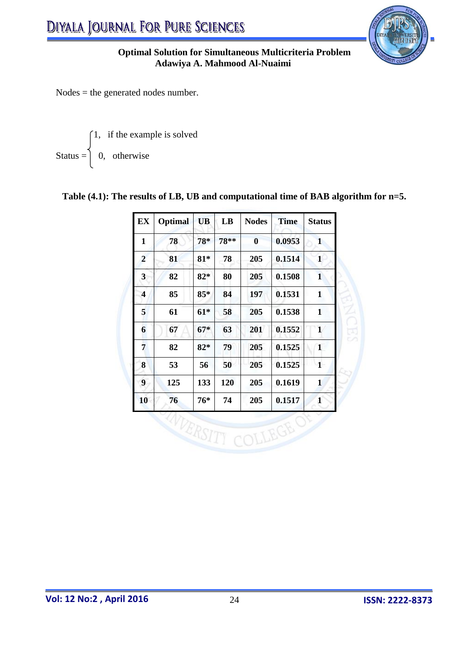

Nodes = the generated nodes number.

Status = 
$$
\begin{cases} 1, & \text{if the example is solved} \\ 0, & \text{otherwise} \end{cases}
$$

## **Table (4.1): The results of LB, UB and computational time of BAB algorithm for n=5.**

| <b>EX</b>      | Optimal | <b>UB</b> | LB     | <b>Nodes</b>     | <b>Time</b> | <b>Status</b> |
|----------------|---------|-----------|--------|------------------|-------------|---------------|
| $\mathbf{1}$   | 78      | 78*       | $78**$ | $\boldsymbol{0}$ | 0.0953      | $\mathbf{1}$  |
| $\overline{2}$ | 81      | $81*$     | 78     | 205              | 0.1514      | $\mathbf{1}$  |
| 3              | 82      | $82*$     | 80     | 205              | 0.1508      | $\mathbf{1}$  |
| 4              | 85      | $85*$     | 84     | 197              | 0.1531      | $\mathbf{1}$  |
| 5              | 61      | $61*$     | 58     | 205              | 0.1538      | $\mathbf{1}$  |
| 6              | 67      | $67*$     | 63     | 201              | 0.1552      | $\mathbf{1}$  |
| 7              | 82      | $82*$     | 79     | 205              | 0.1525      | $\mathbf{1}$  |
| 8              | 53      | 56        | 50     | 205              | 0.1525      | $\mathbf{1}$  |
| 9              | 125     | 133       | 120    | 205              | 0.1619      | $\mathbf{1}$  |
| 10             | 76      | 76*       | 74     | 205              | 0.1517      | 1             |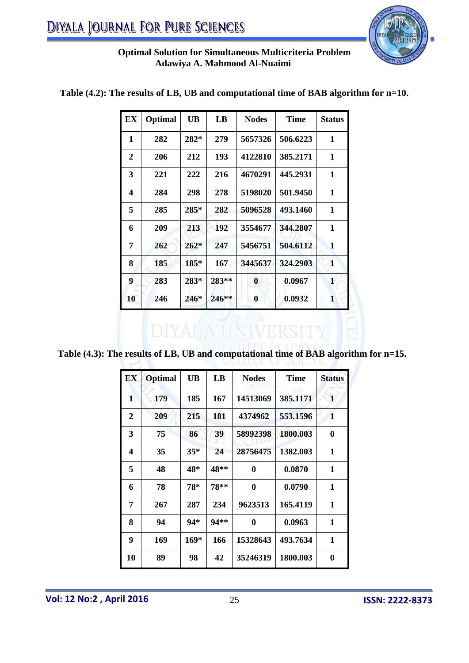

| EX               | Optimal | <b>UB</b> | LB      | <b>Nodes</b> | <b>Time</b> | <b>Status</b> |
|------------------|---------|-----------|---------|--------------|-------------|---------------|
| 1                | 282     | $282*$    | 279     | 5657326      | 506.6223    | 1             |
| $\overline{2}$   | 206     | 212       | 193     | 4122810      | 385.2171    | $\mathbf{1}$  |
| 3                | 221     | 222       | 216     | 4670291      | 445.2931    | 1             |
| 4                | 284     | 298       | 278     | 5198020      | 501.9450    | 1             |
| 5                | 285     | $285*$    | 282     | 5096528      | 493.1460    | 1             |
| 6                | 209     | 213       | 192     | 3554677      | 344,2807    | 1             |
| 7                | 262     | $262*$    | 247     | 5456751      | 504.6112    | 1             |
| 8                | 185     | $185*$    | 167     | 3445637      | 324.2903    | 1             |
| $\boldsymbol{9}$ | 283     | $283*$    | 283**   | $\bf{0}$     | 0.0967      | $\mathbf{1}$  |
| 10               | 246     | $246*$    | $246**$ | $\bf{0}$     | 0.0932      | 1             |

### **Table (4.2): The results of LB, UB and computational time of BAB algorithm for n=10.**

**Table (4.3): The results of LB, UB and computational time of BAB algorithm for n=15.** 

**DIYALA UNIV** 

| <b>EX</b> | <b>Optimal</b> | <b>UB</b> | LB     | <b>Nodes</b> | <b>Time</b> | <b>Status</b> |
|-----------|----------------|-----------|--------|--------------|-------------|---------------|
| 1         | 179            | 185       | 167    | 14513069     | 385.1171    | $\mathbf{1}$  |
| 2         | 209            | 215       | 181    | 4374962      | 553.1596    | $\mathbf{1}$  |
| 3         | 75             | 86        | 39     | 58992398     | 1800.003    | $\bf{0}$      |
| 4         | 35             | $35*$     | 24     | 28756475     | 1382.003    | $\mathbf{1}$  |
| 5         | 48             | 48*       | 48**   | $\bf{0}$     | 0.0870      | 1             |
| 6         | 78             | 78*       | 78**   | $\bf{0}$     | 0.0790      | 1             |
| 7         | 267            | 287       | 234    | 9623513      | 165.4119    | $\mathbf{1}$  |
| 8         | 94             | $94*$     | $94**$ | 0            | 0.0963      | 1             |
| 9         | 169            | $169*$    | 166    | 15328643     | 493.7634    | $\mathbf{1}$  |
| 10        | 89             | 98        | 42     | 35246319     | 1800.003    | $\bf{0}$      |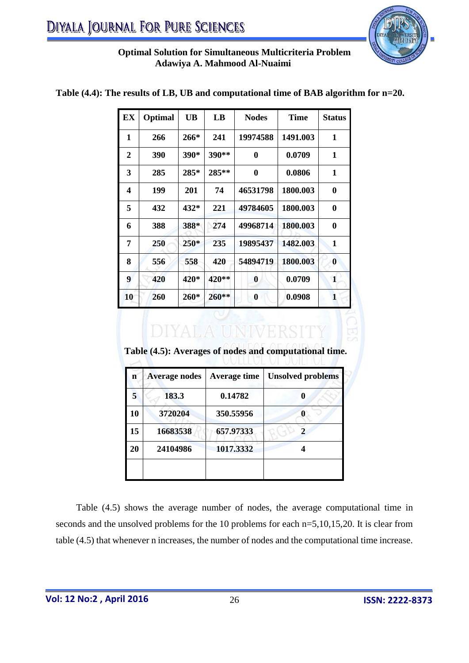

| EX               | Optimal | <b>UB</b> | LB    | <b>Nodes</b>     | <b>Time</b> | <b>Status</b> |
|------------------|---------|-----------|-------|------------------|-------------|---------------|
| 1                | 266     | $266*$    | 241   | 19974588         | 1491.003    | 1             |
| $\boldsymbol{2}$ | 390     | 390*      | 390** | $\bf{0}$         | 0.0709      | $\mathbf{1}$  |
| 3                | 285     | 285*      | 285** | $\bf{0}$         | 0.0806      | $\mathbf{1}$  |
| 4                | 199     | 201       | 74    | 46531798         | 1800.003    | $\bf{0}$      |
| 5                | 432     | 432*      | 221   | 49784605         | 1800.003    | $\bf{0}$      |
| 6                | 388     | 388*      | 274   | 49968714         | 1800.003    | $\bf{0}$      |
| 7                | 250     | $250*$    | 235   | 19895437         | 1482.003    | $\mathbf{1}$  |
| 8                | 556     | 558       | 420   | 54894719         | 1800.003    | $\bf{0}$      |
| $\boldsymbol{9}$ | 420     | 420*      | 420** | $\boldsymbol{0}$ | 0.0709      | $\mathbf{1}$  |
| 10               | 260     | $260*$    | 260** | $\bf{0}$         | 0.0908      | $\mathbf{1}$  |

#### **Table (4.4): The results of LB, UB and computational time of BAB algorithm for n=20.**

 **Table (4.5): Averages of nodes and computational time.**

| 183.3<br>3720204 | 0.14782<br>350.55956 | O |
|------------------|----------------------|---|
|                  |                      |   |
|                  |                      | 0 |
| 16683538         | 657.97333            |   |
|                  | 1017.3332            |   |
|                  | 24104986             |   |

 Table (4.5) shows the average number of nodes, the average computational time in seconds and the unsolved problems for the 10 problems for each n=5,10,15,20. It is clear from table (4.5) that whenever n increases, the number of nodes and the computational time increase.